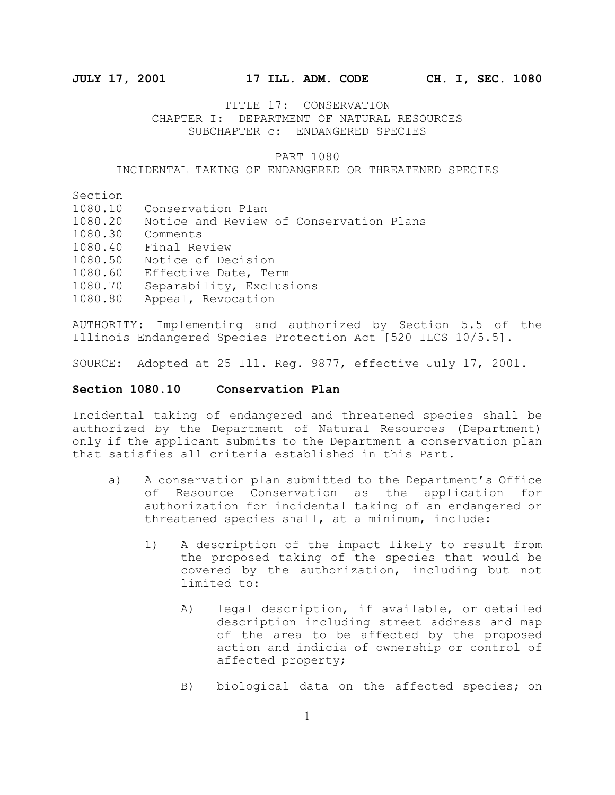TITLE 17: CONSERVATION CHAPTER I: DEPARTMENT OF NATURAL RESOURCES SUBCHAPTER c: ENDANGERED SPECIES

### PART 1080

### INCIDENTAL TAKING OF ENDANGERED OR THREATENED SPECIES

Section

- 1080.10 Conservation Plan
- 1080.20 Notice and Review of Conservation Plans
- 1080.30 Comments
- 1080.40 Final Review
- 1080.50 Notice of Decision
- 1080.60 Effective Date, Term
- 1080.70 Separability, Exclusions
- 1080.80 Appeal, Revocation

AUTHORITY: Implementing and authorized by Section 5.5 of the Illinois Endangered Species Protection Act [520 ILCS 10/5.5].

SOURCE: Adopted at 25 Ill. Reg. 9877, effective July 17, 2001.

### **Section 1080.10 Conservation Plan**

Incidental taking of endangered and threatened species shall be authorized by the Department of Natural Resources (Department) only if the applicant submits to the Department a conservation plan that satisfies all criteria established in this Part.

- a) A conservation plan submitted to the Department's Office of Resource Conservation as the application for authorization for incidental taking of an endangered or threatened species shall, at a minimum, include:
	- 1) A description of the impact likely to result from the proposed taking of the species that would be covered by the authorization, including but not limited to:
		- A) legal description, if available, or detailed description including street address and map of the area to be affected by the proposed action and indicia of ownership or control of affected property;
		- B) biological data on the affected species; on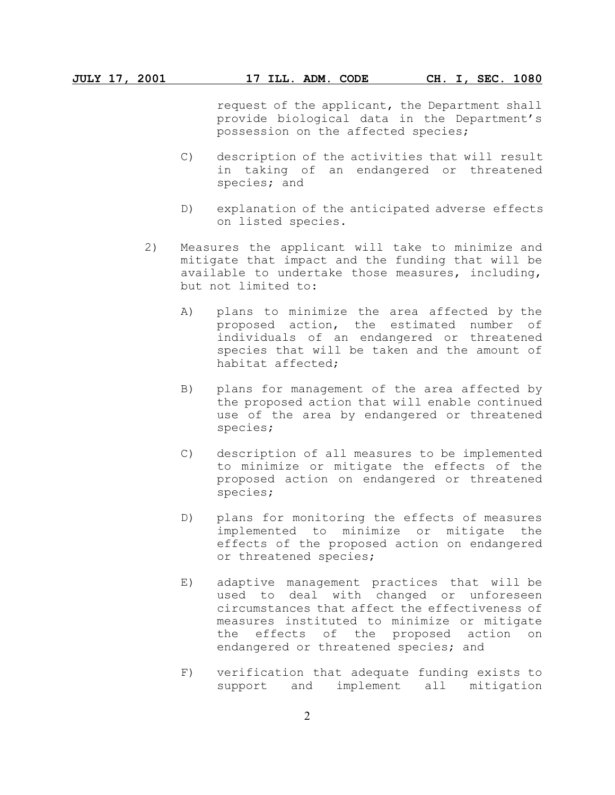request of the applicant, the Department shall provide biological data in the Department's possession on the affected species;

- C) description of the activities that will result in taking of an endangered or threatened species; and
- D) explanation of the anticipated adverse effects on listed species.
- 2) Measures the applicant will take to minimize and mitigate that impact and the funding that will be available to undertake those measures, including, but not limited to:
	- A) plans to minimize the area affected by the proposed action, the estimated number of individuals of an endangered or threatened species that will be taken and the amount of habitat affected;
	- B) plans for management of the area affected by the proposed action that will enable continued use of the area by endangered or threatened species;
	- C) description of all measures to be implemented to minimize or mitigate the effects of the proposed action on endangered or threatened species;
	- D) plans for monitoring the effects of measures implemented to minimize or mitigate the effects of the proposed action on endangered or threatened species;
	- E) adaptive management practices that will be used to deal with changed or unforeseen circumstances that affect the effectiveness of measures instituted to minimize or mitigate the effects of the proposed action on endangered or threatened species; and
	- F) verification that adequate funding exists to support and implement all mitigation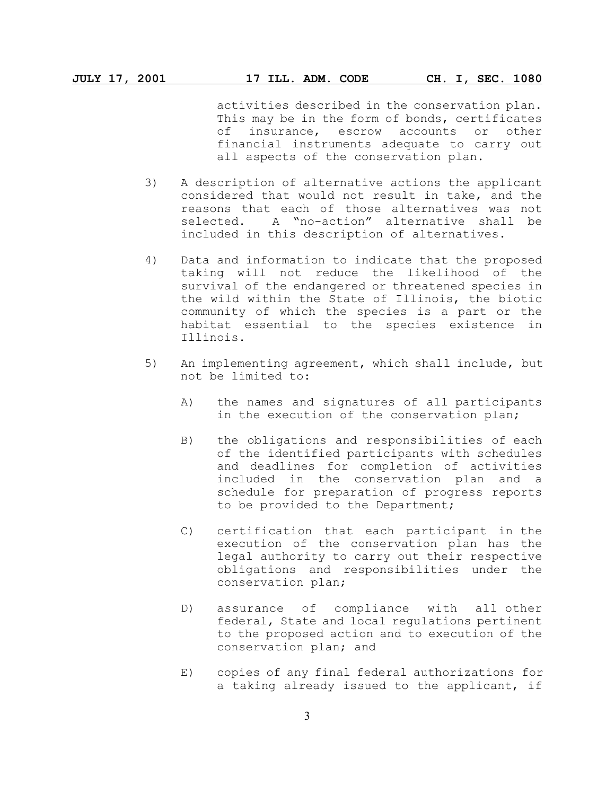activities described in the conservation plan. This may be in the form of bonds, certificates of insurance, escrow accounts or other financial instruments adequate to carry out all aspects of the conservation plan.

- 3) A description of alternative actions the applicant considered that would not result in take, and the reasons that each of those alternatives was not selected. A "no-action" alternative shall be included in this description of alternatives.
- 4) Data and information to indicate that the proposed taking will not reduce the likelihood of the survival of the endangered or threatened species in the wild within the State of Illinois, the biotic community of which the species is a part or the habitat essential to the species existence in Illinois.
- 5) An implementing agreement, which shall include, but not be limited to:
	- A) the names and signatures of all participants in the execution of the conservation plan;
	- B) the obligations and responsibilities of each of the identified participants with schedules and deadlines for completion of activities included in the conservation plan and a schedule for preparation of progress reports to be provided to the Department;
	- C) certification that each participant in the execution of the conservation plan has the legal authority to carry out their respective obligations and responsibilities under the conservation plan;
	- D) assurance of compliance with all other federal, State and local regulations pertinent to the proposed action and to execution of the conservation plan; and
	- E) copies of any final federal authorizations for a taking already issued to the applicant, if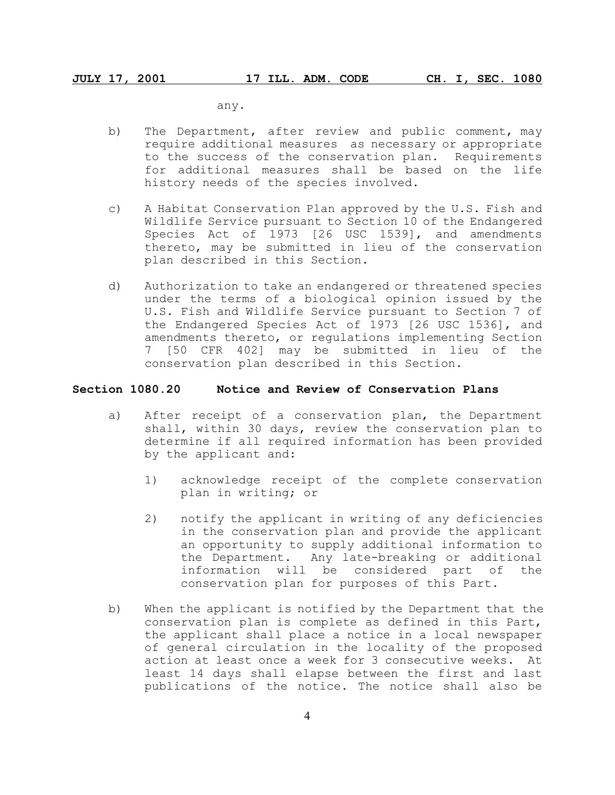any.

- b) The Department, after review and public comment, may require additional measures as necessary or appropriate to the success of the conservation plan. Requirements for additional measures shall be based on the life history needs of the species involved.
- c) A Habitat Conservation Plan approved by the U.S. Fish and Wildlife Service pursuant to Section 10 of the Endangered Species Act of 1973 [26 USC 1539], and amendments thereto, may be submitted in lieu of the conservation plan described in this Section.
- d) Authorization to take an endangered or threatened species under the terms of a biological opinion issued by the U.S. Fish and Wildlife Service pursuant to Section 7 of the Endangered Species Act of 1973 [26 USC 1536], and amendments thereto, or regulations implementing Section 7 [50 CFR 402] may be submitted in lieu of the conservation plan described in this Section.

### **Section 1080.20 Notice and Review of Conservation Plans**

- a) After receipt of a conservation plan, the Department shall, within 30 days, review the conservation plan to determine if all required information has been provided by the applicant and:
	- 1) acknowledge receipt of the complete conservation plan in writing; or
	- 2) notify the applicant in writing of any deficiencies in the conservation plan and provide the applicant an opportunity to supply additional information to the Department. Any late-breaking or additional information will be considered part of the conservation plan for purposes of this Part.
- b) When the applicant is notified by the Department that the conservation plan is complete as defined in this Part, the applicant shall place a notice in a local newspaper of general circulation in the locality of the proposed action at least once a week for 3 consecutive weeks. At least 14 days shall elapse between the first and last publications of the notice. The notice shall also be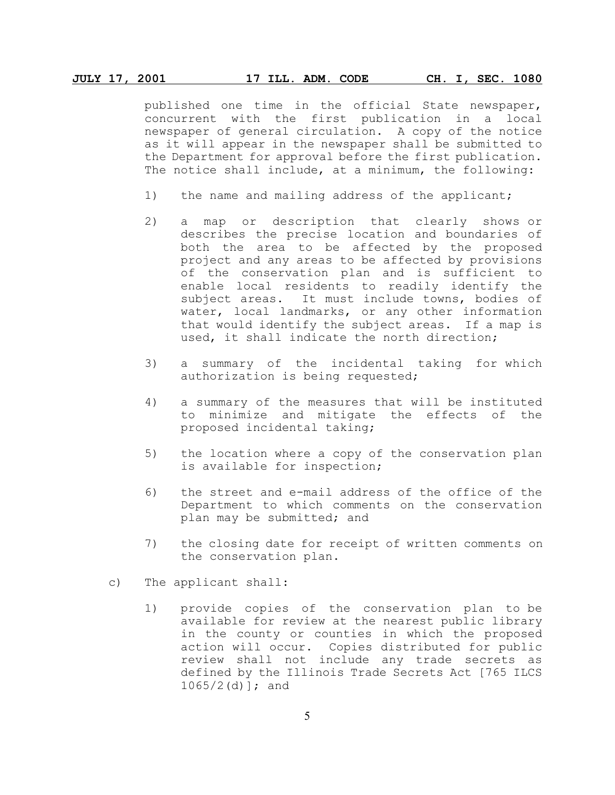## **JULY 17, 2001 17 ILL. ADM. CODE CH. I, SEC. 1080**

published one time in the official State newspaper, concurrent with the first publication in a local newspaper of general circulation. A copy of the notice as it will appear in the newspaper shall be submitted to the Department for approval before the first publication. The notice shall include, at a minimum, the following:

- 1) the name and mailing address of the applicant;
- 2) a map or description that clearly shows or describes the precise location and boundaries of both the area to be affected by the proposed project and any areas to be affected by provisions of the conservation plan and is sufficient to enable local residents to readily identify the subject areas. It must include towns, bodies of water, local landmarks, or any other information that would identify the subject areas. If a map is used, it shall indicate the north direction;
- 3) a summary of the incidental taking for which authorization is being requested;
- 4) a summary of the measures that will be instituted to minimize and mitigate the effects of the proposed incidental taking;
- 5) the location where a copy of the conservation plan is available for inspection;
- 6) the street and e-mail address of the office of the Department to which comments on the conservation plan may be submitted; and
- 7) the closing date for receipt of written comments on the conservation plan.
- c) The applicant shall:
	- 1) provide copies of the conservation plan to be available for review at the nearest public library in the county or counties in which the proposed action will occur. Copies distributed for public review shall not include any trade secrets as defined by the Illinois Trade Secrets Act [765 ILCS  $1065/2$  (d) ]; and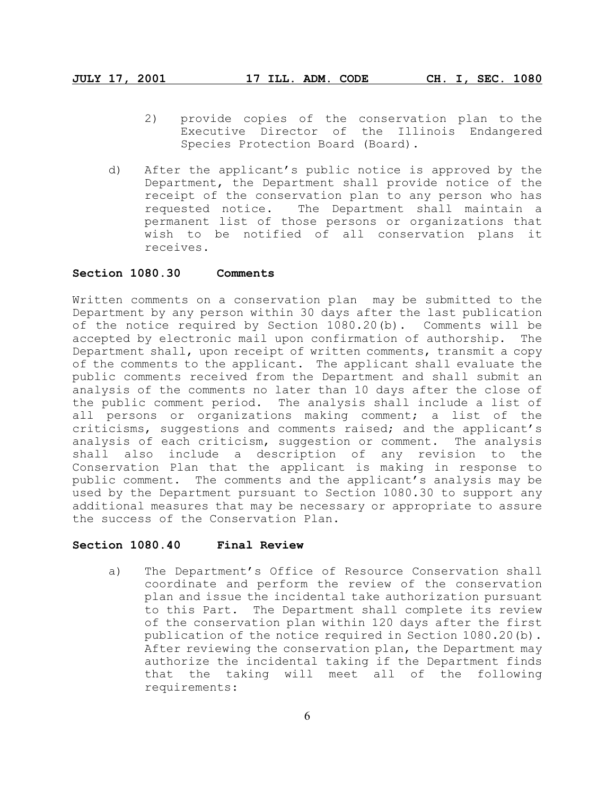- 2) provide copies of the conservation plan to the Executive Director of the Illinois Endangered Species Protection Board (Board).
- d) After the applicant's public notice is approved by the Department, the Department shall provide notice of the receipt of the conservation plan to any person who has requested notice. The Department shall maintain a permanent list of those persons or organizations that wish to be notified of all conservation plans it receives.

## **Section 1080.30 Comments**

Written comments on a conservation plan may be submitted to the Department by any person within 30 days after the last publication of the notice required by Section 1080.20(b). Comments will be accepted by electronic mail upon confirmation of authorship. The Department shall, upon receipt of written comments, transmit a copy of the comments to the applicant. The applicant shall evaluate the public comments received from the Department and shall submit an analysis of the comments no later than 10 days after the close of the public comment period. The analysis shall include a list of all persons or organizations making comment; a list of the criticisms, suggestions and comments raised; and the applicant's analysis of each criticism, suggestion or comment. The analysis shall also include a description of any revision to the Conservation Plan that the applicant is making in response to public comment. The comments and the applicant's analysis may be used by the Department pursuant to Section 1080.30 to support any additional measures that may be necessary or appropriate to assure the success of the Conservation Plan.

# **Section 1080.40 Final Review**

a) The Department's Office of Resource Conservation shall coordinate and perform the review of the conservation plan and issue the incidental take authorization pursuant to this Part. The Department shall complete its review of the conservation plan within 120 days after the first publication of the notice required in Section 1080.20(b). After reviewing the conservation plan, the Department may authorize the incidental taking if the Department finds that the taking will meet all of the following requirements: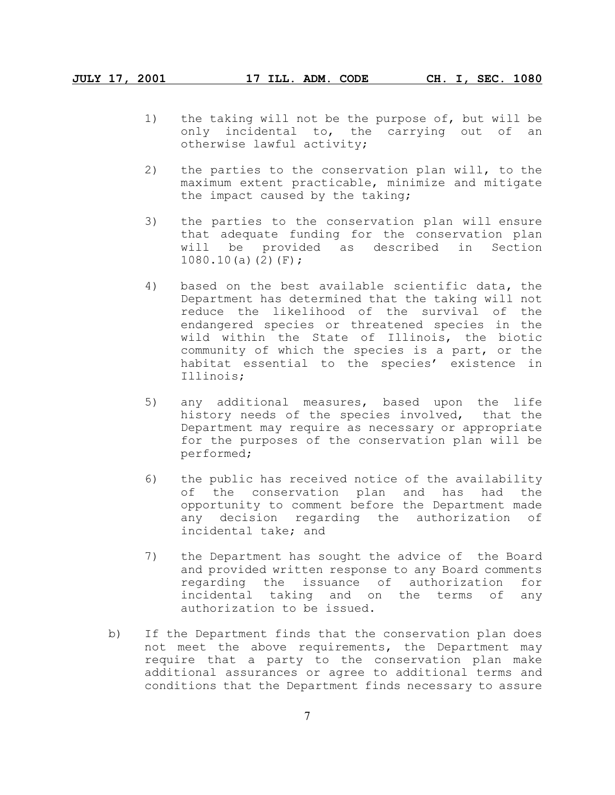- 1) the taking will not be the purpose of, but will be only incidental to, the carrying out of an otherwise lawful activity;
- 2) the parties to the conservation plan will, to the maximum extent practicable, minimize and mitigate the impact caused by the taking;
- 3) the parties to the conservation plan will ensure that adequate funding for the conservation plan will be provided as described in Section  $1080.10(a)(2)(F);$
- 4) based on the best available scientific data, the Department has determined that the taking will not reduce the likelihood of the survival of the endangered species or threatened species in the wild within the State of Illinois, the biotic community of which the species is a part, or the habitat essential to the species' existence in Illinois;
- 5) any additional measures, based upon the life history needs of the species involved, that the Department may require as necessary or appropriate for the purposes of the conservation plan will be performed;
- 6) the public has received notice of the availability of the conservation plan and has had the opportunity to comment before the Department made any decision regarding the authorization of incidental take; and
- 7) the Department has sought the advice of the Board and provided written response to any Board comments regarding the issuance of authorization for incidental taking and on the terms of any authorization to be issued.
- b) If the Department finds that the conservation plan does not meet the above requirements, the Department may require that a party to the conservation plan make additional assurances or agree to additional terms and conditions that the Department finds necessary to assure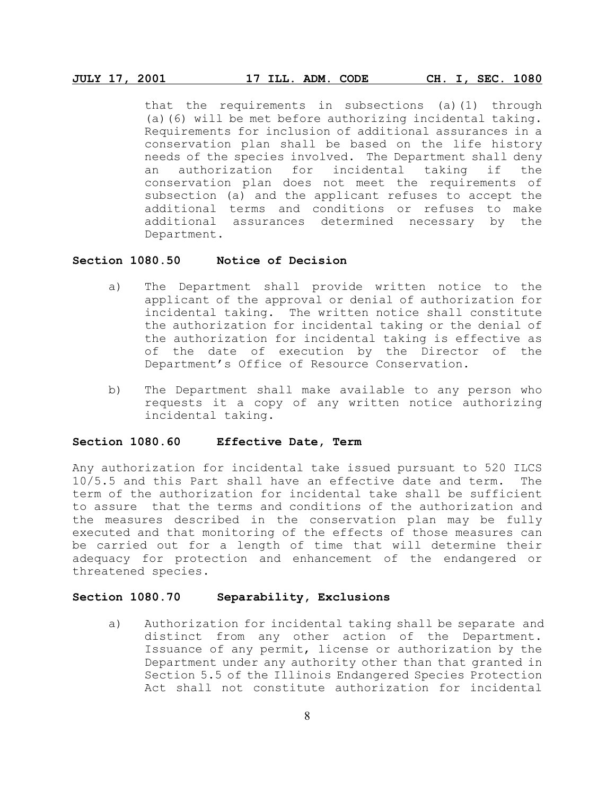### **JULY 17, 2001 17 ILL. ADM. CODE CH. I, SEC. 1080**

that the requirements in subsections (a)(1) through (a)(6) will be met before authorizing incidental taking. Requirements for inclusion of additional assurances in a conservation plan shall be based on the life history needs of the species involved. The Department shall deny an authorization for incidental taking if the conservation plan does not meet the requirements of subsection (a) and the applicant refuses to accept the additional terms and conditions or refuses to make additional assurances determined necessary by the Department.

## **Section 1080.50 Notice of Decision**

- a) The Department shall provide written notice to the applicant of the approval or denial of authorization for incidental taking. The written notice shall constitute the authorization for incidental taking or the denial of the authorization for incidental taking is effective as of the date of execution by the Director of the Department's Office of Resource Conservation.
- b) The Department shall make available to any person who requests it a copy of any written notice authorizing incidental taking.

## **Section 1080.60 Effective Date, Term**

Any authorization for incidental take issued pursuant to 520 ILCS 10/5.5 and this Part shall have an effective date and term. The term of the authorization for incidental take shall be sufficient to assure that the terms and conditions of the authorization and the measures described in the conservation plan may be fully executed and that monitoring of the effects of those measures can be carried out for a length of time that will determine their adequacy for protection and enhancement of the endangered or threatened species.

## **Section 1080.70 Separability, Exclusions**

a) Authorization for incidental taking shall be separate and distinct from any other action of the Department. Issuance of any permit, license or authorization by the Department under any authority other than that granted in Section 5.5 of the Illinois Endangered Species Protection Act shall not constitute authorization for incidental